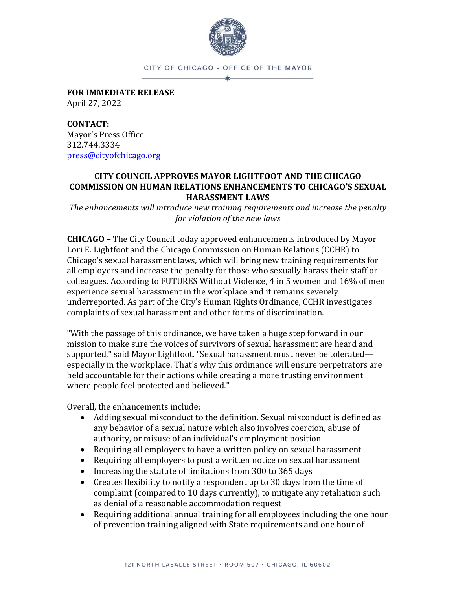

CITY OF CHICAGO · OFFICE OF THE MAYOR

**FOR IMMEDIATE RELEASE**  April 27, 2022

**CONTACT:**  Mayor's Press Office 312.744.3334 [press@cityofchicago.org](mailto:press@cityofchicago.org)

## **CITY COUNCIL APPROVES MAYOR LIGHTFOOT AND THE CHICAGO COMMISSION ON HUMAN RELATIONS ENHANCEMENTS TO CHICAGO'S SEXUAL HARASSMENT LAWS**

*The enhancements will introduce new training requirements and increase the penalty for violation of the new laws*

**CHICAGO –** The City Council today approved enhancements introduced by Mayor Lori E. Lightfoot and the Chicago Commission on Human Relations (CCHR) to Chicago's sexual harassment laws, which will bring new training requirements for all employers and increase the penalty for those who sexually harass their staff or colleagues. According to FUTURES Without Violence, 4 in 5 women and 16% of men experience sexual harassment in the workplace and it remains severely underreported. As part of the City's Human Rights Ordinance, CCHR investigates complaints of sexual harassment and other forms of discrimination.

"With the passage of this ordinance, we have taken a huge step forward in our mission to make sure the voices of survivors of sexual harassment are heard and supported," said Mayor Lightfoot. "Sexual harassment must never be tolerated especially in the workplace. That's why this ordinance will ensure perpetrators are held accountable for their actions while creating a more trusting environment where people feel protected and believed."

Overall, the enhancements include:

- Adding sexual misconduct to the definition. Sexual misconduct is defined as any behavior of a sexual nature which also involves coercion, abuse of authority, or misuse of an individual's employment position
- Requiring all employers to have a written policy on sexual harassment
- Requiring all employers to post a written notice on sexual harassment
- Increasing the statute of limitations from 300 to 365 days
- Creates flexibility to notify a respondent up to 30 days from the time of complaint (compared to 10 days currently), to mitigate any retaliation such as denial of a reasonable accommodation request
- Requiring additional annual training for all employees including the one hour of prevention training aligned with State requirements and one hour of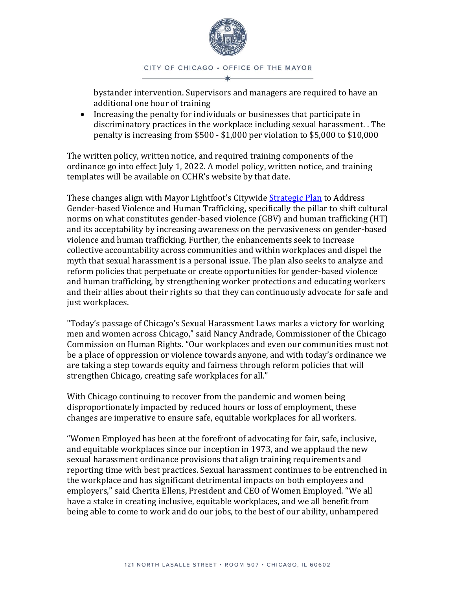

bystander intervention. Supervisors and managers are required to have an additional one hour of training

• Increasing the penalty for individuals or businesses that participate in discriminatory practices in the workplace including sexual harassment. . The penalty is increasing from \$500 - \$1,000 per violation to \$5,000 to \$10,000

The written policy, written notice, and required training components of the ordinance go into effect July 1, 2022. A model policy, written notice, and training templates will be available on CCHR's website by that date.

These changes align with Mayor Lightfoot's Citywide [Strategic Plan](https://www.chicago.gov/city/en/sites/public-safety-and-violence-reduction/home/GenderBasedViolence.html) to Address Gender-based Violence and Human Trafficking, specifically the pillar to shift cultural norms on what constitutes gender-based violence (GBV) and human trafficking (HT) and its acceptability by increasing awareness on the pervasiveness on gender-based violence and human trafficking. Further, the enhancements seek to increase collective accountability across communities and within workplaces and dispel the myth that sexual harassment is a personal issue. The plan also seeks to analyze and reform policies that perpetuate or create opportunities for gender-based violence and human trafficking, by strengthening worker protections and educating workers and their allies about their rights so that they can continuously advocate for safe and just workplaces.

"Today's passage of Chicago's Sexual Harassment Laws marks a victory for working men and women across Chicago," said Nancy Andrade, Commissioner of the Chicago Commission on Human Rights. "Our workplaces and even our communities must not be a place of oppression or violence towards anyone, and with today's ordinance we are taking a step towards equity and fairness through reform policies that will strengthen Chicago, creating safe workplaces for all."

With Chicago continuing to recover from the pandemic and women being disproportionately impacted by reduced hours or loss of employment, these changes are imperative to ensure safe, equitable workplaces for all workers.

"Women Employed has been at the forefront of advocating for fair, safe, inclusive, and equitable workplaces since our inception in 1973, and we applaud the new sexual harassment ordinance provisions that align training requirements and reporting time with best practices. Sexual harassment continues to be entrenched in the workplace and has significant detrimental impacts on both employees and employers," said Cherita Ellens, President and CEO of Women Employed. "We all have a stake in creating inclusive, equitable workplaces, and we all benefit from being able to come to work and do our jobs, to the best of our ability, unhampered